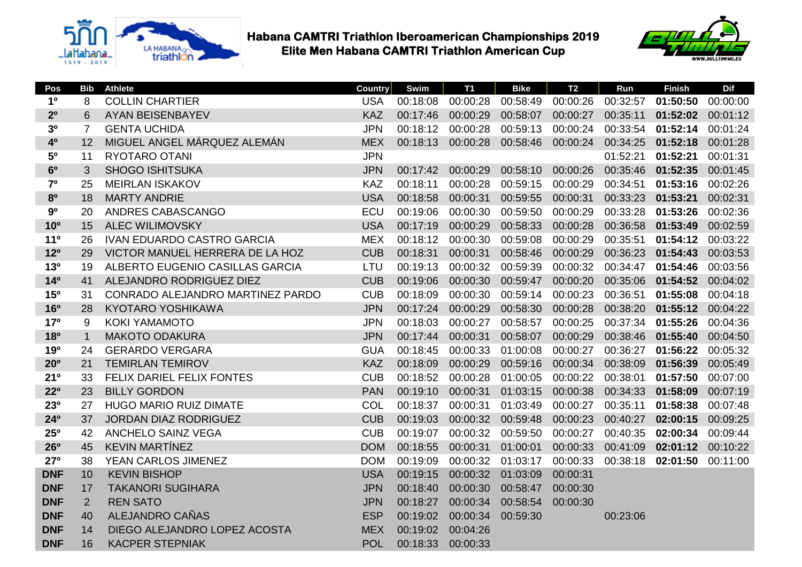



| Pos             | <b>Bib</b>     | <b>Athlete</b>                    | <b>Country</b> | Swim     | <b>T1</b> | <b>Bike</b>       | <b>T2</b> | Run               | <b>Finish</b>     | <b>Dif</b> |
|-----------------|----------------|-----------------------------------|----------------|----------|-----------|-------------------|-----------|-------------------|-------------------|------------|
| 1 <sup>0</sup>  | 8              | <b>COLLIN CHARTIER</b>            | <b>USA</b>     | 00:18:08 | 00:00:28  | 00:58:49          | 00:00:26  | 00:32:57          | 01:50:50          | 00:00:00   |
| 2 <sup>0</sup>  | 6              | <b>AYAN BEISENBAYEV</b>           | <b>KAZ</b>     | 00:17:46 | 00:00:29  | 00:58:07          | 00:00:27  | 00:35:11          | 01:52:02          | 00:01:12   |
| 3 <sup>0</sup>  | 7              | <b>GENTA UCHIDA</b>               | <b>JPN</b>     | 00:18:12 | 00:00:28  | 00:59:13          | 00:00:24  | 00:33:54          | 01:52:14          | 00:01:24   |
| 40              | 12             | MIGUEL ANGEL MÁRQUEZ ALEMÁN       | <b>MEX</b>     | 00:18:13 | 00:00:28  | 00:58:46          | 00:00:24  | 00:34:25          | 01:52:18          | 00:01:28   |
| 50              | 11             | RYOTARO OTANI                     | <b>JPN</b>     |          |           |                   |           | 01:52:21          | 01:52:21          | 00:01:31   |
| 6 <sup>o</sup>  | 3              | <b>SHOGO ISHITSUKA</b>            | <b>JPN</b>     | 00:17:42 | 00:00:29  | 00:58:10          | 00:00:26  | 00:35:46 01:52:35 |                   | 00:01:45   |
| 7 <sup>0</sup>  | 25             | <b>MEIRLAN ISKAKOV</b>            | <b>KAZ</b>     | 00:18:11 | 00:00:28  | 00:59:15          | 00:00:29  | 00:34:51          | 01:53:16          | 00:02:26   |
| 8 <sup>o</sup>  | 18             | <b>MARTY ANDRIE</b>               | <b>USA</b>     | 00:18:58 | 00:00:31  | 00:59:55          | 00:00:31  | 00:33:23          | 01:53:21          | 00:02:31   |
| 9 <sup>0</sup>  | 20             | ANDRES CABASCANGO                 | ECU            | 00:19:06 | 00:00:30  | 00:59:50          | 00:00:29  | 00:33:28          | 01:53:26          | 00:02:36   |
| <b>10°</b>      | 15             | <b>ALEC WILIMOVSKY</b>            | <b>USA</b>     | 00:17:19 | 00:00:29  | 00:58:33          | 00:00:28  | 00:36:58 01:53:49 |                   | 00:02:59   |
| 11 <sup>0</sup> | 26             | <b>IVAN EDUARDO CASTRO GARCIA</b> | <b>MEX</b>     | 00:18:12 | 00:00:30  | 00:59:08          | 00:00:29  | 00:35:51          | 01:54:12          | 00:03:22   |
| 12 <sup>o</sup> | 29             | VICTOR MANUEL HERRERA DE LA HOZ   | <b>CUB</b>     | 00:18:31 | 00:00:31  | 00:58:46          | 00:00:29  | 00:36:23          | 01:54:43          | 00:03:53   |
| 13 <sup>o</sup> | 19             | ALBERTO EUGENIO CASILLAS GARCIA   | LTU            | 00:19:13 | 00:00:32  | 00:59:39          | 00:00:32  | 00:34:47          | 01:54:46          | 00:03:56   |
| 14 <sup>o</sup> | 41             | ALEJANDRO RODRIGUEZ DIEZ          | <b>CUB</b>     | 00:19:06 | 00:00:30  | 00:59:47          | 00:00:20  |                   | 00:35:06 01:54:52 | 00:04:02   |
| 15 <sup>o</sup> | 31             | CONRADO ALEJANDRO MARTINEZ PARDO  | <b>CUB</b>     | 00:18:09 | 00:00:30  | 00:59:14          | 00:00:23  | 00:36:51          | 01:55:08          | 00:04:18   |
| <b>16°</b>      | 28             | <b>KYOTARO YOSHIKAWA</b>          | <b>JPN</b>     | 00:17:24 | 00:00:29  | 00:58:30          | 00:00:28  | 00:38:20          | 01:55:12          | 00:04:22   |
| 17 <sup>o</sup> | 9              | <b>KOKI YAMAMOTO</b>              | <b>JPN</b>     | 00:18:03 | 00:00:27  | 00:58:57          | 00:00:25  | 00:37:34          | 01:55:26          | 00:04:36   |
| 180             | $\mathbf{1}$   | <b>MAKOTO ODAKURA</b>             | <b>JPN</b>     | 00:17:44 | 00:00:31  | 00:58:07          | 00:00:29  |                   | 00:38:46 01:55:40 | 00:04:50   |
| 190             | 24             | <b>GERARDO VERGARA</b>            | <b>GUA</b>     | 00:18:45 | 00:00:33  | 01:00:08          | 00:00:27  | 00:36:27          | 01:56:22          | 00:05:32   |
| 20 <sup>o</sup> | 21             | <b>TEMIRLAN TEMIROV</b>           | <b>KAZ</b>     | 00:18:09 | 00:00:29  | 00:59:16          | 00:00:34  | 00:38:09          | 01:56:39          | 00:05:49   |
| 21 <sup>0</sup> | 33             | FELIX DARIEL FELIX FONTES         | <b>CUB</b>     | 00:18:52 | 00:00:28  | 01:00:05          | 00:00:22  | 00:38:01          | 01:57:50          | 00:07:00   |
| $22^{\circ}$    | 23             | <b>BILLY GORDON</b>               | <b>PAN</b>     | 00:19:10 | 00:00:31  | 01:03:15          | 00:00:38  | 00:34:33          | 01:58:09          | 00:07:19   |
| 230             | 27             | <b>HUGO MARIO RUIZ DIMATE</b>     | COL            | 00:18:37 | 00:00:31  | 01:03:49          | 00:00:27  | 00:35:11          | 01:58:38          | 00:07:48   |
| 24 <sup>o</sup> | 37             | <b>JORDAN DIAZ RODRIGUEZ</b>      | <b>CUB</b>     | 00:19:03 | 00:00:32  | 00:59:48          | 00:00:23  | 00:40:27 02:00:15 |                   | 00:09:25   |
| 25 <sup>o</sup> | 42             | <b>ANCHELO SAINZ VEGA</b>         | <b>CUB</b>     | 00:19:07 | 00:00:32  | 00:59:50          | 00:00:27  | 00:40:35          | 02:00:34          | 00:09:44   |
| <b>26°</b>      | 45             | <b>KEVIN MARTINEZ</b>             | <b>DOM</b>     | 00:18:55 | 00:00:31  | 01:00:01          | 00:00:33  | 00:41:09          | 02:01:12          | 00:10:22   |
| 27 <sup>o</sup> | 38             | YEAN CARLOS JIMENEZ               | <b>DOM</b>     | 00:19:09 | 00:00:32  | 01:03:17          | 00:00:33  |                   | 00:38:18 02:01:50 | 00:11:00   |
| <b>DNF</b>      | 10             | <b>KEVIN BISHOP</b>               | <b>USA</b>     | 00:19:15 |           | 00:00:32 01:03:09 | 00:00:31  |                   |                   |            |
| <b>DNF</b>      | 17             | <b>TAKANORI SUGIHARA</b>          | <b>JPN</b>     | 00:18:40 | 00:00:30  | 00:58:47          | 00:00:30  |                   |                   |            |
| <b>DNF</b>      | $\overline{2}$ | <b>REN SATO</b>                   | <b>JPN</b>     | 00:18:27 | 00:00:34  | 00:58:54          | 00:00:30  |                   |                   |            |
| <b>DNF</b>      | 40             | ALEJANDRO CAÑAS                   | <b>ESP</b>     | 00:19:02 | 00:00:34  | 00:59:30          |           | 00:23:06          |                   |            |
| <b>DNF</b>      | 14             | DIEGO ALEJANDRO LOPEZ ACOSTA      | <b>MEX</b>     | 00:19:02 | 00:04:26  |                   |           |                   |                   |            |
| <b>DNF</b>      | 16             | <b>KACPER STEPNIAK</b>            | <b>POL</b>     | 00:18:33 | 00:00:33  |                   |           |                   |                   |            |